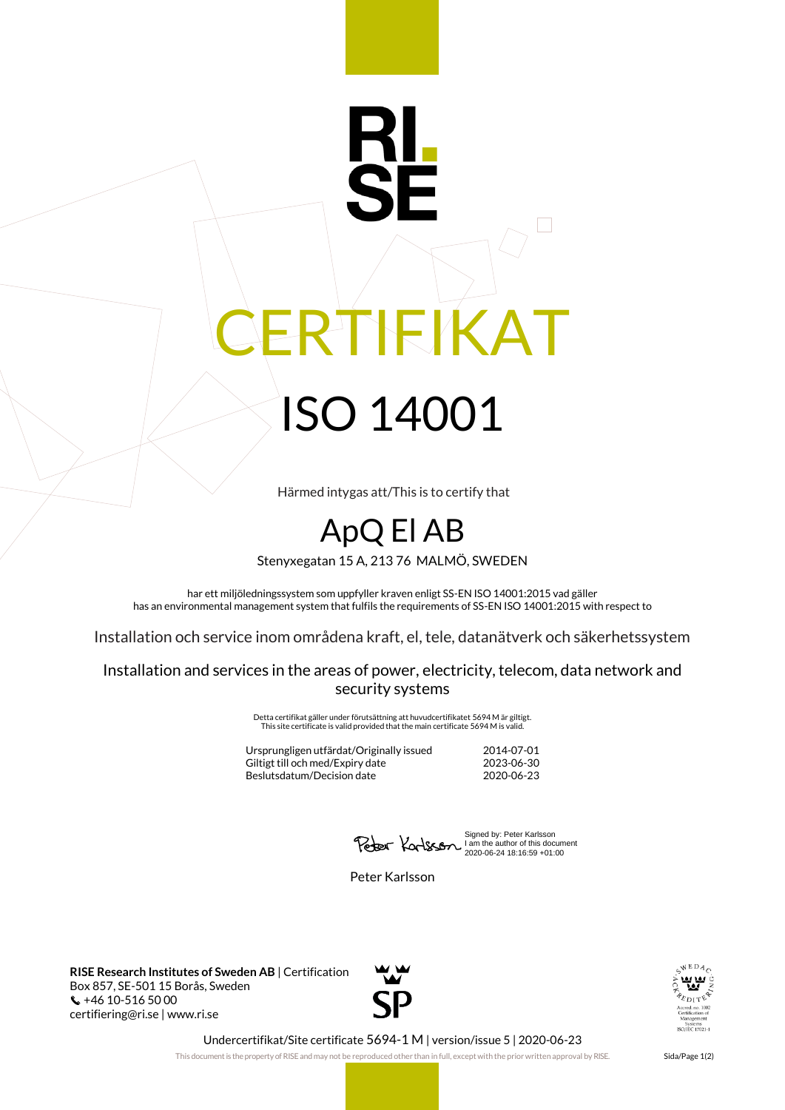## RTIFIKAT ISO 14001

Härmed intygas att/This is to certify that

## ApQ El AB

Stenyxegatan 15 A, 213 76 MALMÖ, SWEDEN

har ett miljöledningssystem som uppfyller kraven enligt SS-EN ISO 14001:2015 vad gäller has an environmental management system that fulfils the requirements of SS-EN ISO 14001:2015 with respect to

Installation och service inom områdena kraft, el, tele, datanätverk och säkerhetssystem

Installation and services in the areas of power, electricity, telecom, data network and security systems

> Detta certifikat gäller under förutsättning att huvudcertifikatet 5694 M är giltigt. This site certificate is valid provided that the main certificate 5694 M is valid.

Ursprungligen utfärdat/Originally issued 2014-07-01 Giltigt till och med/Expiry date Beslutsdatum/Decision date 2020-06-23

Signed by: Peter Karlsson I am the author of this document 2020-06-24 18:16:59 +01:00

Peter Karlsson

**RISE Research Institutes of Sweden AB** | Certification Box 857, SE-501 15 Borås, Sweden  $\binom{4}{10}$  +46 10-516 50 00 certifiering@ri.se | www.ri.se





Undercertifikat/Site certificate 5694-1 M | version/issue 5 | 2020-06-23

This document is the property of RISE and may not be reproduced other than in full, except with the prior written approval by RISE. Sida/Page 1(2)